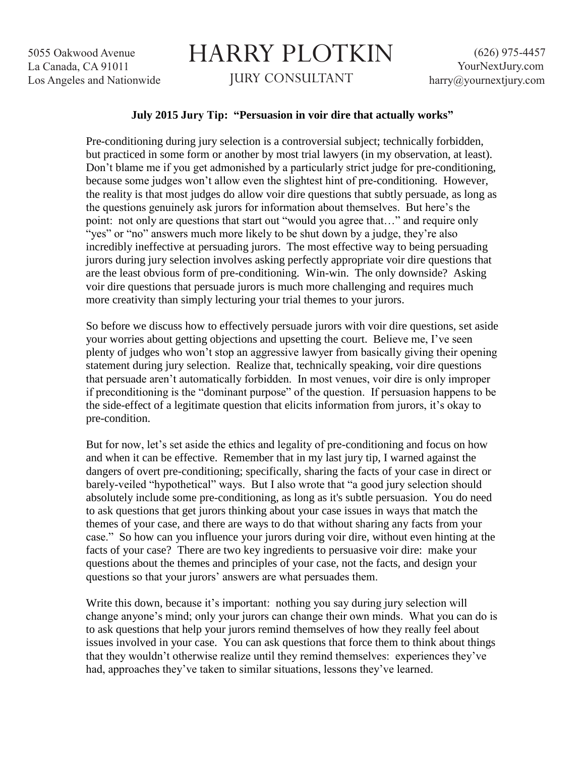5055 Oakwood Avenue La Canada, CA 91011 Los Angeles and Nationwide

## HARRY PLOTKIN JURY CONSULTANT

## **July 2015 Jury Tip: "Persuasion in voir dire that actually works"**

Pre-conditioning during jury selection is a controversial subject; technically forbidden, but practiced in some form or another by most trial lawyers (in my observation, at least). Don't blame me if you get admonished by a particularly strict judge for pre-conditioning, because some judges won't allow even the slightest hint of pre-conditioning. However, the reality is that most judges do allow voir dire questions that subtly persuade, as long as the questions genuinely ask jurors for information about themselves. But here's the point: not only are questions that start out "would you agree that…" and require only "yes" or "no" answers much more likely to be shut down by a judge, they're also incredibly ineffective at persuading jurors. The most effective way to being persuading jurors during jury selection involves asking perfectly appropriate voir dire questions that are the least obvious form of pre-conditioning. Win-win. The only downside? Asking voir dire questions that persuade jurors is much more challenging and requires much more creativity than simply lecturing your trial themes to your jurors.

So before we discuss how to effectively persuade jurors with voir dire questions, set aside your worries about getting objections and upsetting the court. Believe me, I've seen plenty of judges who won't stop an aggressive lawyer from basically giving their opening statement during jury selection. Realize that, technically speaking, voir dire questions that persuade aren't automatically forbidden. In most venues, voir dire is only improper if preconditioning is the "dominant purpose" of the question. If persuasion happens to be the side-effect of a legitimate question that elicits information from jurors, it's okay to pre-condition.

But for now, let's set aside the ethics and legality of pre-conditioning and focus on how and when it can be effective. Remember that in my last jury tip, I warned against the dangers of overt pre-conditioning; specifically, sharing the facts of your case in direct or barely-veiled "hypothetical" ways. But I also wrote that "a good jury selection should absolutely include some pre-conditioning, as long as it's subtle persuasion. You do need to ask questions that get jurors thinking about your case issues in ways that match the themes of your case, and there are ways to do that without sharing any facts from your case." So how can you influence your jurors during voir dire, without even hinting at the facts of your case? There are two key ingredients to persuasive voir dire: make your questions about the themes and principles of your case, not the facts, and design your questions so that your jurors' answers are what persuades them.

Write this down, because it's important: nothing you say during jury selection will change anyone's mind; only your jurors can change their own minds. What you can do is to ask questions that help your jurors remind themselves of how they really feel about issues involved in your case. You can ask questions that force them to think about things that they wouldn't otherwise realize until they remind themselves: experiences they've had, approaches they've taken to similar situations, lessons they've learned.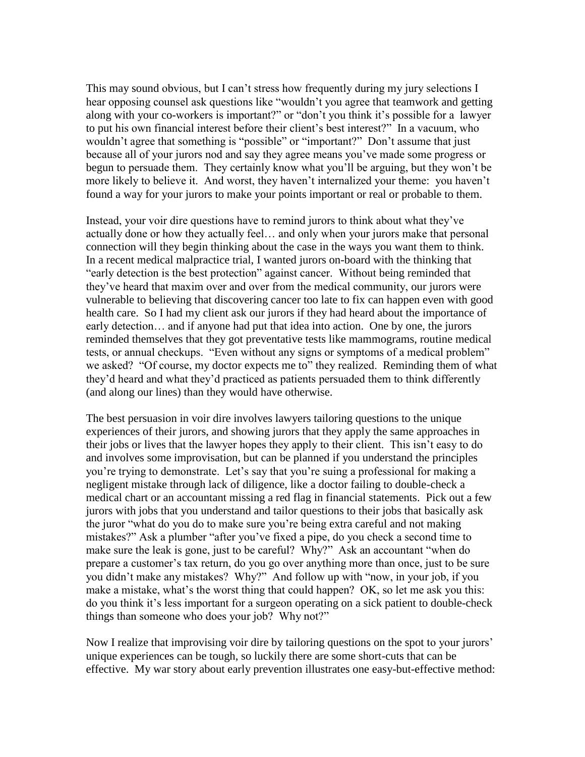This may sound obvious, but I can't stress how frequently during my jury selections I hear opposing counsel ask questions like "wouldn't you agree that teamwork and getting along with your co-workers is important?" or "don't you think it's possible for a lawyer to put his own financial interest before their client's best interest?" In a vacuum, who wouldn't agree that something is "possible" or "important?" Don't assume that just because all of your jurors nod and say they agree means you've made some progress or begun to persuade them. They certainly know what you'll be arguing, but they won't be more likely to believe it. And worst, they haven't internalized your theme: you haven't found a way for your jurors to make your points important or real or probable to them.

Instead, your voir dire questions have to remind jurors to think about what they've actually done or how they actually feel… and only when your jurors make that personal connection will they begin thinking about the case in the ways you want them to think. In a recent medical malpractice trial, I wanted jurors on-board with the thinking that "early detection is the best protection" against cancer. Without being reminded that they've heard that maxim over and over from the medical community, our jurors were vulnerable to believing that discovering cancer too late to fix can happen even with good health care. So I had my client ask our jurors if they had heard about the importance of early detection… and if anyone had put that idea into action. One by one, the jurors reminded themselves that they got preventative tests like mammograms, routine medical tests, or annual checkups. "Even without any signs or symptoms of a medical problem" we asked? "Of course, my doctor expects me to" they realized. Reminding them of what they'd heard and what they'd practiced as patients persuaded them to think differently (and along our lines) than they would have otherwise.

The best persuasion in voir dire involves lawyers tailoring questions to the unique experiences of their jurors, and showing jurors that they apply the same approaches in their jobs or lives that the lawyer hopes they apply to their client. This isn't easy to do and involves some improvisation, but can be planned if you understand the principles you're trying to demonstrate. Let's say that you're suing a professional for making a negligent mistake through lack of diligence, like a doctor failing to double-check a medical chart or an accountant missing a red flag in financial statements. Pick out a few jurors with jobs that you understand and tailor questions to their jobs that basically ask the juror "what do you do to make sure you're being extra careful and not making mistakes?" Ask a plumber "after you've fixed a pipe, do you check a second time to make sure the leak is gone, just to be careful? Why?" Ask an accountant "when do prepare a customer's tax return, do you go over anything more than once, just to be sure you didn't make any mistakes? Why?" And follow up with "now, in your job, if you make a mistake, what's the worst thing that could happen? OK, so let me ask you this: do you think it's less important for a surgeon operating on a sick patient to double-check things than someone who does your job? Why not?"

Now I realize that improvising voir dire by tailoring questions on the spot to your jurors' unique experiences can be tough, so luckily there are some short-cuts that can be effective. My war story about early prevention illustrates one easy-but-effective method: